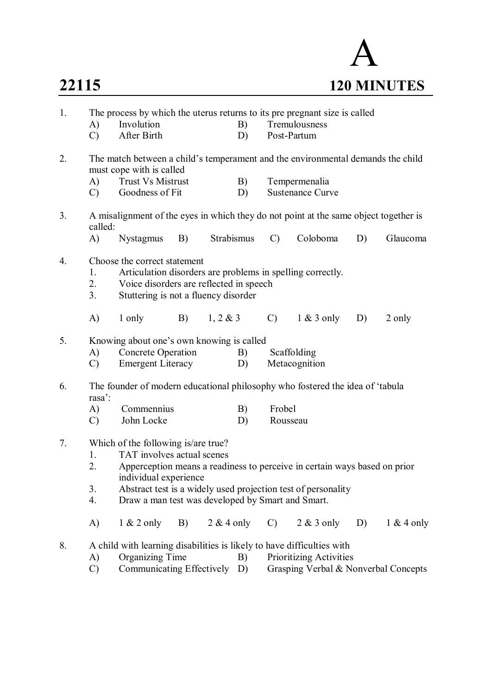

| Tremulousness<br>Involution<br>B)<br>A)<br>After Birth<br>Post-Partum<br>$\mathcal{C}$<br>D)<br>2.<br>The match between a child's temperament and the environmental demands the child<br>must cope with is called<br><b>Trust Vs Mistrust</b><br>A)<br>B)<br>Tempermenalia<br><b>Sustenance Curve</b><br>Goodness of Fit<br>$\mathcal{C}$<br>D)<br>A misalignment of the eyes in which they do not point at the same object together is<br>3.<br>called:<br>Strabismus<br>A)<br><b>Nystagmus</b><br>B)<br>$\mathcal{C}$<br>Coloboma<br>D)<br>Glaucoma<br>4.<br>Choose the correct statement<br>Articulation disorders are problems in spelling correctly.<br>1.<br>2.<br>Voice disorders are reflected in speech<br>3.<br>Stuttering is not a fluency disorder<br>A)<br>B)<br>1, 2 & 3<br>$\mathcal{C}$<br>$1 \& 3$ only<br>1 only<br>D)<br>2 only<br>5.<br>Knowing about one's own knowing is called<br><b>Concrete Operation</b><br>Scaffolding<br>A)<br>B)<br><b>Emergent Literacy</b><br>Metacognition<br>$\mathcal{C}$<br>D)<br>The founder of modern educational philosophy who fostered the idea of 'tabula<br>6.<br>rasa <sup>2</sup> :<br>Frobel<br>A)<br>Commennius<br>B)<br>John Locke<br>$\mathcal{C}$<br>D)<br>Rousseau<br>7.<br>Which of the following is/are true?<br>TAT involves actual scenes<br>1.<br>Apperception means a readiness to perceive in certain ways based on prior<br>2.<br>individual experience<br>3.<br>Abstract test is a widely used projection test of personality<br>4.<br>Draw a man test was developed by Smart and Smart.<br>$2 & 4$ only<br>$1 & 2$ only<br>$2 & 3$ only<br>$1 & 4$ only<br>A)<br>B)<br>D)<br>C) | 1. | The process by which the uterus returns to its pre pregnant size is called |  |  |  |  |  |  |  |  |  |  |
|-------------------------------------------------------------------------------------------------------------------------------------------------------------------------------------------------------------------------------------------------------------------------------------------------------------------------------------------------------------------------------------------------------------------------------------------------------------------------------------------------------------------------------------------------------------------------------------------------------------------------------------------------------------------------------------------------------------------------------------------------------------------------------------------------------------------------------------------------------------------------------------------------------------------------------------------------------------------------------------------------------------------------------------------------------------------------------------------------------------------------------------------------------------------------------------------------------------------------------------------------------------------------------------------------------------------------------------------------------------------------------------------------------------------------------------------------------------------------------------------------------------------------------------------------------------------------------------------------------------------------------------------------------------|----|----------------------------------------------------------------------------|--|--|--|--|--|--|--|--|--|--|
|                                                                                                                                                                                                                                                                                                                                                                                                                                                                                                                                                                                                                                                                                                                                                                                                                                                                                                                                                                                                                                                                                                                                                                                                                                                                                                                                                                                                                                                                                                                                                                                                                                                             |    |                                                                            |  |  |  |  |  |  |  |  |  |  |
|                                                                                                                                                                                                                                                                                                                                                                                                                                                                                                                                                                                                                                                                                                                                                                                                                                                                                                                                                                                                                                                                                                                                                                                                                                                                                                                                                                                                                                                                                                                                                                                                                                                             |    |                                                                            |  |  |  |  |  |  |  |  |  |  |
|                                                                                                                                                                                                                                                                                                                                                                                                                                                                                                                                                                                                                                                                                                                                                                                                                                                                                                                                                                                                                                                                                                                                                                                                                                                                                                                                                                                                                                                                                                                                                                                                                                                             |    |                                                                            |  |  |  |  |  |  |  |  |  |  |
|                                                                                                                                                                                                                                                                                                                                                                                                                                                                                                                                                                                                                                                                                                                                                                                                                                                                                                                                                                                                                                                                                                                                                                                                                                                                                                                                                                                                                                                                                                                                                                                                                                                             |    |                                                                            |  |  |  |  |  |  |  |  |  |  |
|                                                                                                                                                                                                                                                                                                                                                                                                                                                                                                                                                                                                                                                                                                                                                                                                                                                                                                                                                                                                                                                                                                                                                                                                                                                                                                                                                                                                                                                                                                                                                                                                                                                             |    |                                                                            |  |  |  |  |  |  |  |  |  |  |
|                                                                                                                                                                                                                                                                                                                                                                                                                                                                                                                                                                                                                                                                                                                                                                                                                                                                                                                                                                                                                                                                                                                                                                                                                                                                                                                                                                                                                                                                                                                                                                                                                                                             |    |                                                                            |  |  |  |  |  |  |  |  |  |  |
|                                                                                                                                                                                                                                                                                                                                                                                                                                                                                                                                                                                                                                                                                                                                                                                                                                                                                                                                                                                                                                                                                                                                                                                                                                                                                                                                                                                                                                                                                                                                                                                                                                                             |    |                                                                            |  |  |  |  |  |  |  |  |  |  |
|                                                                                                                                                                                                                                                                                                                                                                                                                                                                                                                                                                                                                                                                                                                                                                                                                                                                                                                                                                                                                                                                                                                                                                                                                                                                                                                                                                                                                                                                                                                                                                                                                                                             |    |                                                                            |  |  |  |  |  |  |  |  |  |  |
|                                                                                                                                                                                                                                                                                                                                                                                                                                                                                                                                                                                                                                                                                                                                                                                                                                                                                                                                                                                                                                                                                                                                                                                                                                                                                                                                                                                                                                                                                                                                                                                                                                                             |    |                                                                            |  |  |  |  |  |  |  |  |  |  |
|                                                                                                                                                                                                                                                                                                                                                                                                                                                                                                                                                                                                                                                                                                                                                                                                                                                                                                                                                                                                                                                                                                                                                                                                                                                                                                                                                                                                                                                                                                                                                                                                                                                             |    |                                                                            |  |  |  |  |  |  |  |  |  |  |
|                                                                                                                                                                                                                                                                                                                                                                                                                                                                                                                                                                                                                                                                                                                                                                                                                                                                                                                                                                                                                                                                                                                                                                                                                                                                                                                                                                                                                                                                                                                                                                                                                                                             |    |                                                                            |  |  |  |  |  |  |  |  |  |  |
|                                                                                                                                                                                                                                                                                                                                                                                                                                                                                                                                                                                                                                                                                                                                                                                                                                                                                                                                                                                                                                                                                                                                                                                                                                                                                                                                                                                                                                                                                                                                                                                                                                                             |    |                                                                            |  |  |  |  |  |  |  |  |  |  |
|                                                                                                                                                                                                                                                                                                                                                                                                                                                                                                                                                                                                                                                                                                                                                                                                                                                                                                                                                                                                                                                                                                                                                                                                                                                                                                                                                                                                                                                                                                                                                                                                                                                             |    |                                                                            |  |  |  |  |  |  |  |  |  |  |
|                                                                                                                                                                                                                                                                                                                                                                                                                                                                                                                                                                                                                                                                                                                                                                                                                                                                                                                                                                                                                                                                                                                                                                                                                                                                                                                                                                                                                                                                                                                                                                                                                                                             |    |                                                                            |  |  |  |  |  |  |  |  |  |  |
|                                                                                                                                                                                                                                                                                                                                                                                                                                                                                                                                                                                                                                                                                                                                                                                                                                                                                                                                                                                                                                                                                                                                                                                                                                                                                                                                                                                                                                                                                                                                                                                                                                                             |    |                                                                            |  |  |  |  |  |  |  |  |  |  |
|                                                                                                                                                                                                                                                                                                                                                                                                                                                                                                                                                                                                                                                                                                                                                                                                                                                                                                                                                                                                                                                                                                                                                                                                                                                                                                                                                                                                                                                                                                                                                                                                                                                             |    |                                                                            |  |  |  |  |  |  |  |  |  |  |
|                                                                                                                                                                                                                                                                                                                                                                                                                                                                                                                                                                                                                                                                                                                                                                                                                                                                                                                                                                                                                                                                                                                                                                                                                                                                                                                                                                                                                                                                                                                                                                                                                                                             |    |                                                                            |  |  |  |  |  |  |  |  |  |  |
|                                                                                                                                                                                                                                                                                                                                                                                                                                                                                                                                                                                                                                                                                                                                                                                                                                                                                                                                                                                                                                                                                                                                                                                                                                                                                                                                                                                                                                                                                                                                                                                                                                                             |    |                                                                            |  |  |  |  |  |  |  |  |  |  |
|                                                                                                                                                                                                                                                                                                                                                                                                                                                                                                                                                                                                                                                                                                                                                                                                                                                                                                                                                                                                                                                                                                                                                                                                                                                                                                                                                                                                                                                                                                                                                                                                                                                             |    |                                                                            |  |  |  |  |  |  |  |  |  |  |
| A child with learning disabilities is likely to have difficulties with<br>8.<br><b>Organizing Time</b><br><b>Prioritizing Activities</b><br>A)<br>B)                                                                                                                                                                                                                                                                                                                                                                                                                                                                                                                                                                                                                                                                                                                                                                                                                                                                                                                                                                                                                                                                                                                                                                                                                                                                                                                                                                                                                                                                                                        |    |                                                                            |  |  |  |  |  |  |  |  |  |  |
| Communicating Effectively<br>$\mathcal{C}$<br>Grasping Verbal & Nonverbal Concepts<br>D)                                                                                                                                                                                                                                                                                                                                                                                                                                                                                                                                                                                                                                                                                                                                                                                                                                                                                                                                                                                                                                                                                                                                                                                                                                                                                                                                                                                                                                                                                                                                                                    |    |                                                                            |  |  |  |  |  |  |  |  |  |  |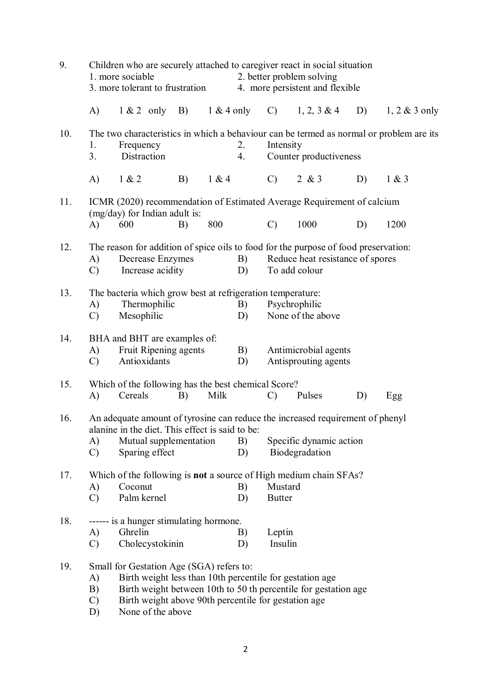| 9.  |                                                                                                                                                                                                                                                                                         | Children who are securely attached to caregiver react in social situation<br>1. more sociable<br>2. better problem solving<br>3. more tolerant to frustration<br>4. more persistent and flexible |    |              |          |                          |                                                   |    |                  |  |  |
|-----|-----------------------------------------------------------------------------------------------------------------------------------------------------------------------------------------------------------------------------------------------------------------------------------------|--------------------------------------------------------------------------------------------------------------------------------------------------------------------------------------------------|----|--------------|----------|--------------------------|---------------------------------------------------|----|------------------|--|--|
|     | $\mathbf{A}$                                                                                                                                                                                                                                                                            | $1 & 2$ only                                                                                                                                                                                     | B) | $1 & 4$ only |          | $\mathcal{C}$            | $1, 2, 3 \& 4$                                    | D) | $1, 2 \& 3$ only |  |  |
| 10. | 1.<br>3.                                                                                                                                                                                                                                                                                | The two characteristics in which a behaviour can be termed as normal or problem are its<br>Frequency<br>Distraction                                                                              |    |              | 2.<br>4. | Intensity                | Counter productiveness                            |    |                  |  |  |
|     | A)                                                                                                                                                                                                                                                                                      | 1 & 2                                                                                                                                                                                            | B) | 1 & 4        |          | $\mathcal{C}$            | 2 & 8 & 3                                         | D) | 1 & 3            |  |  |
| 11. |                                                                                                                                                                                                                                                                                         | ICMR (2020) recommendation of Estimated Average Requirement of calcium<br>(mg/day) for Indian adult is:                                                                                          |    |              |          |                          |                                                   |    |                  |  |  |
|     | A)                                                                                                                                                                                                                                                                                      | 600                                                                                                                                                                                              | B) | 800          |          | $\mathcal{C}$            | 1000                                              | D) | 1200             |  |  |
| 12. | A)<br>$\mathcal{C}$                                                                                                                                                                                                                                                                     | The reason for addition of spice oils to food for the purpose of food preservation:<br>Decrease Enzymes<br>B)<br>Increase acidity<br>D)                                                          |    |              |          |                          | Reduce heat resistance of spores<br>To add colour |    |                  |  |  |
| 13. | A)<br>$\mathcal{C}$                                                                                                                                                                                                                                                                     | The bacteria which grow best at refrigeration temperature:<br>Psychrophilic<br>Thermophilic<br>B)<br>Mesophilic<br>None of the above<br>D)                                                       |    |              |          |                          |                                                   |    |                  |  |  |
| 14. | A)<br>$\mathcal{C}$                                                                                                                                                                                                                                                                     | BHA and BHT are examples of:<br>Fruit Ripening agents<br>Antioxidants                                                                                                                            |    |              | B)<br>D) |                          | Antimicrobial agents<br>Antisprouting agents      |    |                  |  |  |
| 15. | A)                                                                                                                                                                                                                                                                                      | Which of the following has the best chemical Score?<br>Cereals                                                                                                                                   | B) | Milk         |          | $\mathcal{C}$            | Pulses                                            | D) | Egg              |  |  |
| 16. | A)<br>$\mathcal{C}$                                                                                                                                                                                                                                                                     | An adequate amount of tyrosine can reduce the increased requirement of phenyl<br>alanine in the diet. This effect is said to be:<br>Mutual supplementation<br>Sparing effect                     |    |              | B)<br>D) |                          | Specific dynamic action<br>Biodegradation         |    |                  |  |  |
| 17. | A)<br>$\mathcal{C}$                                                                                                                                                                                                                                                                     | Which of the following is <b>not</b> a source of High medium chain SFAs?<br>Coconut<br>Palm kernel                                                                                               |    |              | B)<br>D) | Mustard<br><b>Butter</b> |                                                   |    |                  |  |  |
| 18. | A)<br>$\mathcal{C}$                                                                                                                                                                                                                                                                     | ------ is a hunger stimulating hormone.<br>Ghrelin<br>Cholecystokinin                                                                                                                            |    |              | B)<br>D) | Leptin<br>Insulin        |                                                   |    |                  |  |  |
| 19. | Small for Gestation Age (SGA) refers to:<br>Birth weight less than 10th percentile for gestation age<br>A)<br>Birth weight between 10th to 50 th percentile for gestation age<br>B)<br>Birth weight above 90th percentile for gestation age<br>$\mathcal{C}$<br>None of the above<br>D) |                                                                                                                                                                                                  |    |              |          |                          |                                                   |    |                  |  |  |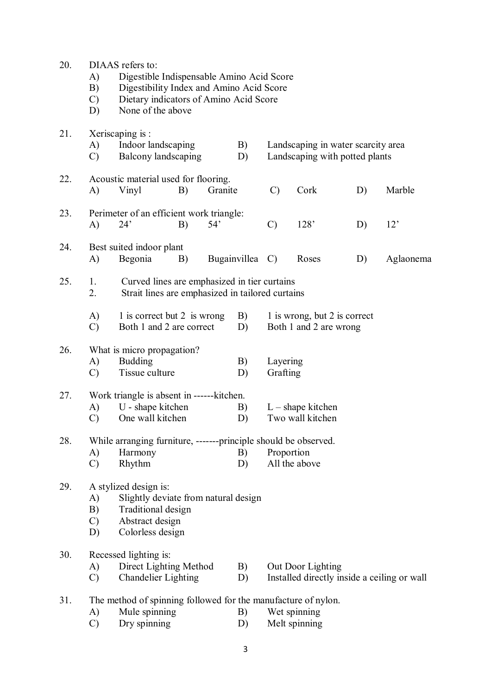| 20. | A)<br>B)<br>$\mathcal{C}$<br>D) | DIAAS refers to:                                                                                                           | Digestible Indispensable Amino Acid Score<br>Digestibility Index and Amino Acid Score<br>Dietary indicators of Amino Acid Score<br>None of the above |         |                 |                      |                                                                      |     |                                             |  |  |
|-----|---------------------------------|----------------------------------------------------------------------------------------------------------------------------|------------------------------------------------------------------------------------------------------------------------------------------------------|---------|-----------------|----------------------|----------------------------------------------------------------------|-----|---------------------------------------------|--|--|
| 21. | A)<br>$\mathcal{C}$             | Xeriscaping is :<br>Indoor landscaping<br>Balcony landscaping                                                              |                                                                                                                                                      |         | B)<br>D)        |                      | Landscaping in water scarcity area<br>Landscaping with potted plants |     |                                             |  |  |
| 22. | A)                              | Acoustic material used for flooring.<br>Vinyl                                                                              | B)                                                                                                                                                   | Granite |                 | $\mathcal{C}$        | Cork                                                                 | D)  | Marble                                      |  |  |
| 23. | A)                              | Perimeter of an efficient work triangle:<br>54'<br>24'<br>B)                                                               |                                                                                                                                                      |         | $\mathcal{C}$   | 128'                 | D)                                                                   | 12' |                                             |  |  |
| 24. | A)                              | Best suited indoor plant<br>Begonia                                                                                        | B)                                                                                                                                                   |         | Bugainvillea C) |                      | Roses                                                                | D)  | Aglaonema                                   |  |  |
| 25. | 1.<br>2.                        | Curved lines are emphasized in tier curtains<br>Strait lines are emphasized in tailored curtains                           |                                                                                                                                                      |         |                 |                      |                                                                      |     |                                             |  |  |
|     | A)<br>$\mathcal{C}$             | 1 is correct but 2 is wrong<br>Both 1 and 2 are correct                                                                    |                                                                                                                                                      |         | B)<br>D)        |                      | 1 is wrong, but 2 is correct<br>Both 1 and 2 are wrong               |     |                                             |  |  |
| 26. | A)<br>$\mathcal{C}$             | What is micro propagation?<br><b>Budding</b><br>Tissue culture                                                             |                                                                                                                                                      |         | B)<br>D)        | Layering<br>Grafting |                                                                      |     |                                             |  |  |
| 27. | A)<br>$\mathcal{C}$             | Work triangle is absent in ------kitchen.<br>U - shape kitchen<br>One wall kitchen                                         |                                                                                                                                                      |         | B)<br>D)        |                      | $L$ – shape kitchen<br>Two wall kitchen                              |     |                                             |  |  |
| 28. | A)<br>$\mathcal{C}$             | While arranging furniture, -------principle should be observed.<br>Harmony<br>Rhythm                                       |                                                                                                                                                      |         | B)<br>D)        | Proportion           | All the above                                                        |     |                                             |  |  |
| 29. | A)<br>B)<br>$\mathcal{C}$<br>D) | A stylized design is:<br>Slightly deviate from natural design<br>Traditional design<br>Abstract design<br>Colorless design |                                                                                                                                                      |         |                 |                      |                                                                      |     |                                             |  |  |
| 30. | A)<br>$\mathcal{C}$             | Recessed lighting is:<br>Direct Lighting Method<br><b>Chandelier Lighting</b>                                              |                                                                                                                                                      |         | B)<br>D)        |                      | Out Door Lighting                                                    |     | Installed directly inside a ceiling or wall |  |  |
| 31. | A)<br>$\mathcal{C}$             | The method of spinning followed for the manufacture of nylon.<br>Mule spinning<br>Dry spinning                             |                                                                                                                                                      |         | B)<br>D)        |                      | Wet spinning<br>Melt spinning                                        |     |                                             |  |  |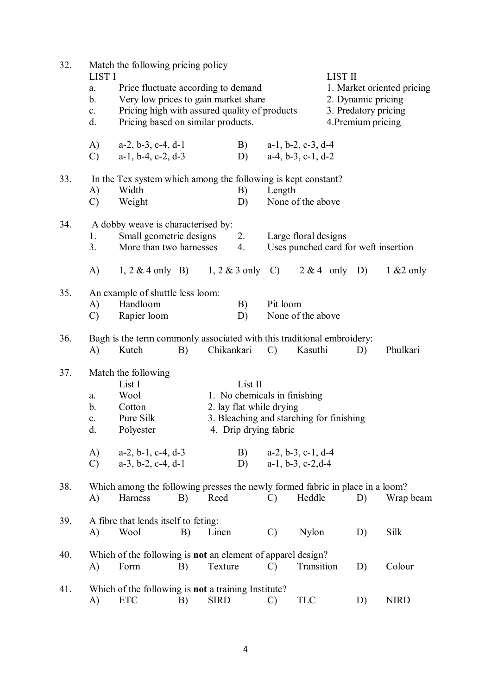| 32. | <b>LIST I</b><br>a.<br>b.<br>$\mathbf{c}$ .<br>d. |                                                                                          | Match the following pricing policy<br>Price fluctuate according to demand<br>Very low prices to gain market share<br>Pricing high with assured quality of products<br>Pricing based on similar products. |             |          |                                                                                                                                                       |                                                              |  | <b>LIST II</b><br>1. Market oriented pricing<br>2. Dynamic pricing<br>3. Predatory pricing<br>4. Premium pricing |             |  |
|-----|---------------------------------------------------|------------------------------------------------------------------------------------------|----------------------------------------------------------------------------------------------------------------------------------------------------------------------------------------------------------|-------------|----------|-------------------------------------------------------------------------------------------------------------------------------------------------------|--------------------------------------------------------------|--|------------------------------------------------------------------------------------------------------------------|-------------|--|
|     | A)<br>$\mathcal{C}$                               | $a-2$ , $b-3$ , $c-4$ , $d-1$<br>$a-1$ , $b-4$ , $c-2$ , $d-3$                           |                                                                                                                                                                                                          |             | B)<br>D) | $a-1$ , $b-2$ , $c-3$ , $d-4$<br>$a-4, b-3, c-1, d-2$                                                                                                 |                                                              |  |                                                                                                                  |             |  |
| 33. | A)<br>$\mathcal{C}$                               | Width<br>Weight                                                                          | In the Tex system which among the following is kept constant?                                                                                                                                            |             |          | Length                                                                                                                                                | None of the above                                            |  |                                                                                                                  |             |  |
| 34. | 1.<br>3.                                          | A dobby weave is characterised by:<br>Small geometric designs<br>More than two harnesses |                                                                                                                                                                                                          |             | 2.<br>4. |                                                                                                                                                       | Large floral designs<br>Uses punched card for weft insertion |  |                                                                                                                  |             |  |
|     | A)                                                | 1, 2 & 4 only B) 1, 2 & 3 only C) 2 & 4 only D) 1 & 2 only                               |                                                                                                                                                                                                          |             |          |                                                                                                                                                       |                                                              |  |                                                                                                                  |             |  |
| 35. | A)<br>$\mathcal{C}$                               | An example of shuttle less loom:<br>Handloom<br>B)<br>Rapier loom<br>D)                  |                                                                                                                                                                                                          |             |          | Pit loom                                                                                                                                              | None of the above                                            |  |                                                                                                                  |             |  |
| 36. | A)                                                | Bagh is the term commonly associated with this traditional embroidery:<br>Kutch          | B)                                                                                                                                                                                                       | Chikankari  |          | $\mathcal{C}$                                                                                                                                         | Kasuthi                                                      |  | D)                                                                                                               | Phulkari    |  |
| 37. | a.<br>b.<br>$\mathbf{c}$ .<br>d.<br>A)            | Match the following<br>List II<br>List I<br>Wool<br>Cotton<br>Pure Silk<br>Polyester     |                                                                                                                                                                                                          |             |          | 1. No chemicals in finishing<br>2. lay flat while drying<br>3. Bleaching and starching for finishing<br>4. Drip drying fabric<br>$a-2, b-3, c-1, d-4$ |                                                              |  |                                                                                                                  |             |  |
|     | $\mathcal{C}$                                     | $a-2$ , $b-1$ , $c-4$ , $d-3$<br>$a-3$ , $b-2$ , $c-4$ , $d-1$                           |                                                                                                                                                                                                          |             | B)<br>D) |                                                                                                                                                       | $a-1$ , $b-3$ , $c-2$ , $d-4$                                |  |                                                                                                                  |             |  |
| 38. | A)                                                | Which among the following presses the newly formed fabric in place in a loom?<br>Harness | B)                                                                                                                                                                                                       | Reed        |          | $\mathcal{C}$                                                                                                                                         | Heddle                                                       |  | D)                                                                                                               | Wrap beam   |  |
| 39. | A)                                                | A fibre that lends itself to feting:<br>Wool                                             | B)                                                                                                                                                                                                       | Linen       |          | $\mathcal{C}$                                                                                                                                         | Nylon                                                        |  | D)                                                                                                               | Silk        |  |
| 40. | A)                                                | Which of the following is not an element of apparel design?<br>Form                      | B)                                                                                                                                                                                                       | Texture     |          | $\mathcal{C}$                                                                                                                                         | Transition                                                   |  | D)                                                                                                               | Colour      |  |
| 41. | A)                                                | Which of the following is <b>not</b> a training Institute?<br><b>ETC</b>                 | B)                                                                                                                                                                                                       | <b>SIRD</b> |          | $\mathcal{C}$                                                                                                                                         | <b>TLC</b>                                                   |  | D)                                                                                                               | <b>NIRD</b> |  |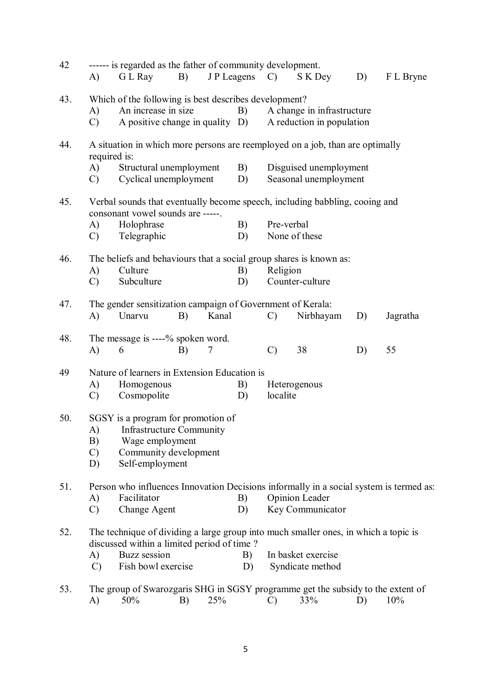| 42  | A)            | ------ is regarded as the father of community development.<br>G L Ray                                                             | B) |       | JP Leagens C) |                                                                             | S K Dey                    | D) | F L Bryne |  |
|-----|---------------|-----------------------------------------------------------------------------------------------------------------------------------|----|-------|---------------|-----------------------------------------------------------------------------|----------------------------|----|-----------|--|
| 43. |               | Which of the following is best describes development?                                                                             |    |       |               |                                                                             |                            |    |           |  |
|     | A)            | An increase in size                                                                                                               |    |       | B)            |                                                                             | A change in infrastructure |    |           |  |
|     | $\mathcal{C}$ | A positive change in quality D)                                                                                                   |    |       |               |                                                                             | A reduction in population  |    |           |  |
|     |               |                                                                                                                                   |    |       |               |                                                                             |                            |    |           |  |
| 44. | required is:  | A situation in which more persons are reemployed on a job, than are optimally                                                     |    |       |               |                                                                             |                            |    |           |  |
|     | A)            | Structural unemployment                                                                                                           |    |       | B)            |                                                                             | Disguised unemployment     |    |           |  |
|     | $\mathcal{C}$ | Cyclical unemployment                                                                                                             |    |       | D)            |                                                                             | Seasonal unemployment      |    |           |  |
| 45. |               | consonant vowel sounds are -----.                                                                                                 |    |       |               | Verbal sounds that eventually become speech, including babbling, cooing and |                            |    |           |  |
|     | A)            | Holophrase                                                                                                                        |    |       | B)            | Pre-verbal                                                                  |                            |    |           |  |
|     | $\mathcal{C}$ | Telegraphic                                                                                                                       |    |       | D)            |                                                                             | None of these              |    |           |  |
|     |               |                                                                                                                                   |    |       |               |                                                                             |                            |    |           |  |
| 46. |               | The beliefs and behaviours that a social group shares is known as:                                                                |    |       |               |                                                                             |                            |    |           |  |
|     | A)            | Culture                                                                                                                           |    |       | B)            | Religion                                                                    |                            |    |           |  |
|     | $\mathcal{C}$ | Subculture                                                                                                                        |    |       | D)            |                                                                             | Counter-culture            |    |           |  |
|     |               |                                                                                                                                   |    |       |               |                                                                             |                            |    |           |  |
| 47. |               | The gender sensitization campaign of Government of Kerala:                                                                        |    |       |               |                                                                             |                            |    |           |  |
|     | A)            | Unarvu                                                                                                                            | B) | Kanal |               | $\mathcal{C}$                                                               | Nirbhayam                  | D) | Jagratha  |  |
| 48. |               | The message is ----% spoken word.                                                                                                 |    |       |               |                                                                             |                            |    |           |  |
|     | A)            | 6                                                                                                                                 | B) | 7     |               | $\mathcal{C}$                                                               | 38                         | D) | 55        |  |
| 49  |               | Nature of learners in Extension Education is                                                                                      |    |       |               |                                                                             |                            |    |           |  |
|     | A)            | Homogenous                                                                                                                        |    |       | B)            |                                                                             | Heterogenous               |    |           |  |
|     | $\mathcal{C}$ | Cosmopolite                                                                                                                       |    |       | D)            | localite                                                                    |                            |    |           |  |
|     |               |                                                                                                                                   |    |       |               |                                                                             |                            |    |           |  |
| 50. |               | SGSY is a program for promotion of                                                                                                |    |       |               |                                                                             |                            |    |           |  |
|     |               | A) Infrastructure Community                                                                                                       |    |       |               |                                                                             |                            |    |           |  |
|     | B)            | Wage employment                                                                                                                   |    |       |               |                                                                             |                            |    |           |  |
|     | $\mathcal{C}$ | Community development                                                                                                             |    |       |               |                                                                             |                            |    |           |  |
|     | D)            | Self-employment                                                                                                                   |    |       |               |                                                                             |                            |    |           |  |
| 51. |               | Person who influences Innovation Decisions informally in a social system is termed as:                                            |    |       |               |                                                                             |                            |    |           |  |
|     | A)            | Facilitator                                                                                                                       |    |       | B)            |                                                                             | Opinion Leader             |    |           |  |
|     | $\mathcal{C}$ | Change Agent                                                                                                                      |    |       | D)            |                                                                             | Key Communicator           |    |           |  |
|     |               |                                                                                                                                   |    |       |               |                                                                             |                            |    |           |  |
| 52. |               | The technique of dividing a large group into much smaller ones, in which a topic is<br>discussed within a limited period of time? |    |       |               |                                                                             |                            |    |           |  |
|     | A)            | Buzz session                                                                                                                      |    |       | B)            |                                                                             | In basket exercise         |    |           |  |
|     | $\mathcal{C}$ | Fish bowl exercise                                                                                                                |    |       | D)            |                                                                             | Syndicate method           |    |           |  |
| 53. |               | The group of Swarozgaris SHG in SGSY programme get the subsidy to the extent of                                                   |    |       |               |                                                                             |                            |    |           |  |
|     | A)            | 50%                                                                                                                               | B) | 25%   |               | $\mathcal{C}$                                                               | 33%                        | D) | 10%       |  |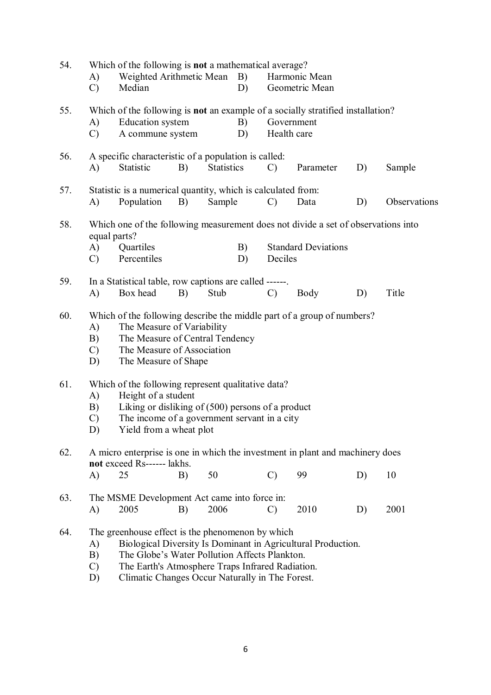| 54. | A)<br>$\mathcal{C}$                                                                                                                                                                                                                                                                                         | Which of the following is not a mathematical average?<br>Weighted Arithmetic Mean<br>Median                                                                                                                 |    |                   | B)<br>D) |                                                                                                                     | Harmonic Mean<br>Geometric Mean |    |              |  |
|-----|-------------------------------------------------------------------------------------------------------------------------------------------------------------------------------------------------------------------------------------------------------------------------------------------------------------|-------------------------------------------------------------------------------------------------------------------------------------------------------------------------------------------------------------|----|-------------------|----------|---------------------------------------------------------------------------------------------------------------------|---------------------------------|----|--------------|--|
| 55. | A)<br>$\mathcal{C}$                                                                                                                                                                                                                                                                                         | Education system<br>A commune system                                                                                                                                                                        |    |                   | B)<br>D) | Which of the following is <b>not</b> an example of a socially stratified installation?<br>Government<br>Health care |                                 |    |              |  |
| 56. | A)                                                                                                                                                                                                                                                                                                          | A specific characteristic of a population is called:<br>Statistic                                                                                                                                           | B) | <b>Statistics</b> |          | $\mathcal{C}$                                                                                                       | Parameter                       | D) | Sample       |  |
| 57. | A)                                                                                                                                                                                                                                                                                                          | Statistic is a numerical quantity, which is calculated from:<br>Population                                                                                                                                  | B) | Sample            |          | $\mathcal{C}$                                                                                                       | Data                            | D) | Observations |  |
| 58. | Which one of the following measurement does not divide a set of observations into<br>equal parts?                                                                                                                                                                                                           |                                                                                                                                                                                                             |    |                   |          |                                                                                                                     |                                 |    |              |  |
|     | A)<br>$\mathcal{C}$                                                                                                                                                                                                                                                                                         | Quartiles<br>Percentiles                                                                                                                                                                                    |    |                   | B)<br>D) | Deciles                                                                                                             | <b>Standard Deviations</b>      |    |              |  |
| 59. | A)                                                                                                                                                                                                                                                                                                          | In a Statistical table, row captions are called ------<br>Box head                                                                                                                                          | B) | Stub              |          | $\mathcal{C}$                                                                                                       | Body                            | D) | Title        |  |
| 60. | A)<br>B)<br>$\mathcal{C}$<br>D)                                                                                                                                                                                                                                                                             | Which of the following describe the middle part of a group of numbers?<br>The Measure of Variability<br>The Measure of Central Tendency<br>The Measure of Association<br>The Measure of Shape               |    |                   |          |                                                                                                                     |                                 |    |              |  |
| 61. | A)<br>B)<br>$\mathcal{C}$<br>D)                                                                                                                                                                                                                                                                             | Which of the following represent qualitative data?<br>Height of a student<br>Liking or disliking of $(500)$ persons of a product<br>The income of a government servant in a city<br>Yield from a wheat plot |    |                   |          |                                                                                                                     |                                 |    |              |  |
| 62. | A)                                                                                                                                                                                                                                                                                                          | A micro enterprise is one in which the investment in plant and machinery does<br>not exceed Rs------ lakhs.<br>25                                                                                           | B) | 50                |          | $\mathcal{C}$                                                                                                       | 99                              | D) | 10           |  |
| 63. | A)                                                                                                                                                                                                                                                                                                          | The MSME Development Act came into force in:<br>2005                                                                                                                                                        | B) | 2006              |          | $\mathcal{C}$                                                                                                       | 2010                            | D) | 2001         |  |
| 64. | The greenhouse effect is the phenomenon by which<br>Biological Diversity Is Dominant in Agricultural Production.<br>A)<br>The Globe's Water Pollution Affects Plankton.<br>B)<br>The Earth's Atmosphere Traps Infrared Radiation.<br>$\mathcal{C}$<br>Climatic Changes Occur Naturally in The Forest.<br>D) |                                                                                                                                                                                                             |    |                   |          |                                                                                                                     |                                 |    |              |  |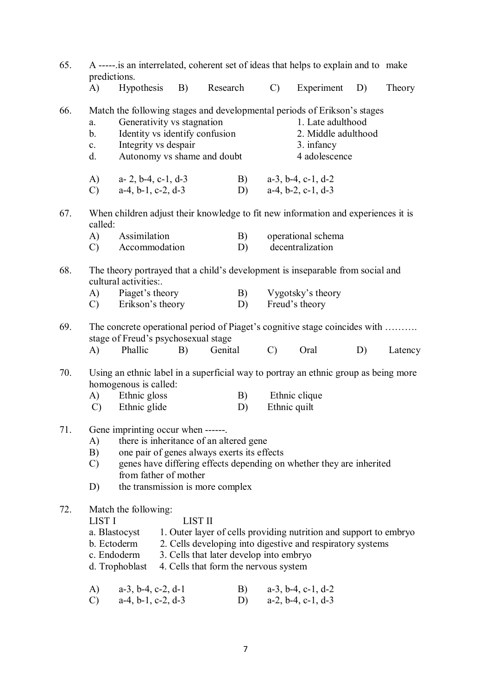| 65. | A ----- is an interrelated, coherent set of ideas that helps to explain and to make<br>predictions. |                                                                                                                                                                                          |                |                                                                                  |                                                                            |                                                                                                                                                                                 |                                                                                                                                 |    |         |  |
|-----|-----------------------------------------------------------------------------------------------------|------------------------------------------------------------------------------------------------------------------------------------------------------------------------------------------|----------------|----------------------------------------------------------------------------------|----------------------------------------------------------------------------|---------------------------------------------------------------------------------------------------------------------------------------------------------------------------------|---------------------------------------------------------------------------------------------------------------------------------|----|---------|--|
|     | (A)                                                                                                 | Hypothesis                                                                                                                                                                               | B)             | Research                                                                         |                                                                            | $\mathcal{C}$ )                                                                                                                                                                 | Experiment                                                                                                                      | D) | Theory  |  |
| 66. | a.<br>b.<br>$c_{\cdot}$<br>d.<br>A)                                                                 | Generativity vs stagnation<br>Identity vs identify confusion<br>Integrity vs despair<br>Autonomy vs shame and doubt<br>$a-2$ , $b-4$ , $c-1$ , $d-3$                                     |                |                                                                                  |                                                                            | Match the following stages and developmental periods of Erikson's stages<br>1. Late adulthood<br>2. Middle adulthood<br>3. infancy<br>4 adolescence<br>B) $a-3$ , b-4, c-1, d-2 |                                                                                                                                 |    |         |  |
|     | $\mathcal{C}$                                                                                       | $a-4$ , $b-1$ , $c-2$ , $d-3$                                                                                                                                                            |                |                                                                                  | D)                                                                         |                                                                                                                                                                                 | $a-4$ , $b-2$ , $c-1$ , $d-3$                                                                                                   |    |         |  |
| 67. | called:                                                                                             | When children adjust their knowledge to fit new information and experiences it is                                                                                                        |                |                                                                                  |                                                                            |                                                                                                                                                                                 |                                                                                                                                 |    |         |  |
|     | A)<br>$\mathcal{C}$                                                                                 | Assimilation<br>Accommodation                                                                                                                                                            |                |                                                                                  | B)<br>D)                                                                   |                                                                                                                                                                                 | operational schema<br>decentralization                                                                                          |    |         |  |
|     |                                                                                                     |                                                                                                                                                                                          |                |                                                                                  |                                                                            |                                                                                                                                                                                 |                                                                                                                                 |    |         |  |
| 68. |                                                                                                     | The theory portrayed that a child's development is inseparable from social and<br>cultural activities                                                                                    |                |                                                                                  |                                                                            |                                                                                                                                                                                 |                                                                                                                                 |    |         |  |
|     |                                                                                                     | A) Piaget's theory<br>C) Erikson's theory                                                                                                                                                |                |                                                                                  | B)<br>D)                                                                   |                                                                                                                                                                                 | Vygotsky's theory<br>Freud's theory                                                                                             |    |         |  |
|     |                                                                                                     |                                                                                                                                                                                          |                |                                                                                  |                                                                            |                                                                                                                                                                                 |                                                                                                                                 |    |         |  |
| 69. |                                                                                                     | stage of Freud's psychosexual stage                                                                                                                                                      |                |                                                                                  | The concrete operational period of Piaget's cognitive stage coincides with |                                                                                                                                                                                 |                                                                                                                                 |    |         |  |
|     | $\bf{A}$                                                                                            | Phallic                                                                                                                                                                                  | B)             | Genital                                                                          |                                                                            | $\mathcal{C}$                                                                                                                                                                   | Oral                                                                                                                            | D) | Latency |  |
| 70. |                                                                                                     | Using an ethnic label in a superficial way to portray an ethnic group as being more<br>homogenous is called:                                                                             |                |                                                                                  |                                                                            |                                                                                                                                                                                 |                                                                                                                                 |    |         |  |
|     |                                                                                                     | A) Ethnic gloss                                                                                                                                                                          |                |                                                                                  | B)                                                                         | Ethnic quilt                                                                                                                                                                    | Ethnic clique                                                                                                                   |    |         |  |
|     | $\mathbf{C}$                                                                                        | Ethnic glide                                                                                                                                                                             |                |                                                                                  | D)                                                                         |                                                                                                                                                                                 |                                                                                                                                 |    |         |  |
| 71. | A)<br>B)<br>$\mathcal{C}$<br>D)                                                                     | Gene imprinting occur when ------<br>there is inheritance of an altered gene<br>one pair of genes always exerts its effects<br>from father of mother<br>the transmission is more complex |                |                                                                                  |                                                                            | genes have differing effects depending on whether they are inherited                                                                                                            |                                                                                                                                 |    |         |  |
| 72. | <b>LIST I</b><br>b. Ectoderm<br>c. Endoderm                                                         | Match the following:<br>a. Blastocyst<br>d. Trophoblast                                                                                                                                  | <b>LIST II</b> | 3. Cells that later develop into embryo<br>4. Cells that form the nervous system |                                                                            |                                                                                                                                                                                 | 1. Outer layer of cells providing nutrition and support to embryo<br>2. Cells developing into digestive and respiratory systems |    |         |  |
|     | A)<br>$\mathcal{C}$                                                                                 | $a-3$ , $b-4$ , $c-2$ , $d-1$<br>$a-4$ , $b-1$ , $c-2$ , $d-3$                                                                                                                           |                |                                                                                  | B)<br>D)                                                                   |                                                                                                                                                                                 | $a-3$ , $b-4$ , $c-1$ , $d-2$<br>$a-2$ , $b-4$ , $c-1$ , $d-3$                                                                  |    |         |  |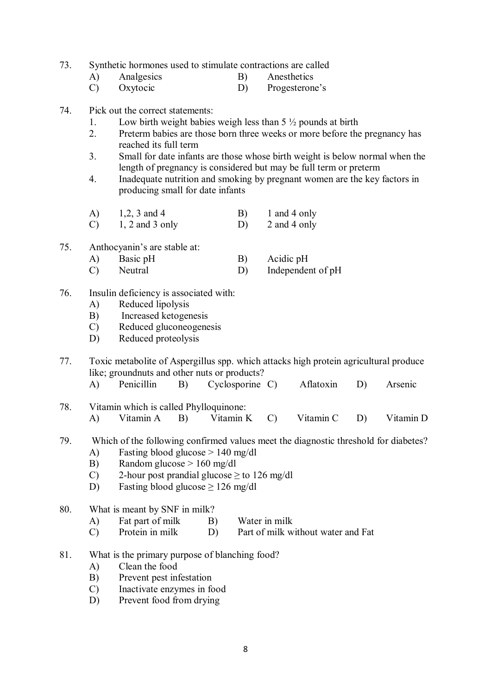- 73. Synthetic hormones used to stimulate contractions are called
	- A) Analgesics B) Anesthetics<br>C) Oxytocic D) Progesteron
	- D) Progesterone's
- 74. Pick out the correct statements:
	- 1. Low birth weight babies weigh less than  $5\frac{1}{2}$  pounds at birth
	- 2. Preterm babies are those born three weeks or more before the pregnancy has reached its full term
	- 3. Small for date infants are those whose birth weight is below normal when the length of pregnancy is considered but may be full term or preterm
	- 4. Inadequate nutrition and smoking by pregnant women are the key factors in producing small for date infants
	- A)  $1,2, 3$  and 4 B) 1 and 4 only
	- C)  $1, 2$  and 3 only D)  $2$  and 4 only
- 75. Anthocyanin's are stable at:
	- A) Basic pH B) Acidic pH
	- C) Neutral D) Independent of pH
- 76. Insulin deficiency is associated with:
	- A) Reduced lipolysis
	- B) Increased ketogenesis
	- C) Reduced gluconeogenesis
	- D) Reduced proteolysis
- 77. Toxic metabolite of Aspergillus spp. which attacks high protein agricultural produce like; groundnuts and other nuts or products?<br>A) Penicillin B) Cyclosporine
	- A) Penicillin B) Cyclosporine C) Aflatoxin D) Arsenic
- 78. Vitamin which is called Phylloquinone: A) Vitamin A B) Vitamin K C) Vitamin C D) Vitamin D
- 79. Which of the following confirmed values meet the diagnostic threshold for diabetes?
	- A) Fasting blood glucose > 140 mg/dl
	- B) Random glucose > 160 mg/dl
	- C) 2-hour post prandial glucose  $>$  to 126 mg/dl
	- D) Fasting blood glucose  $\geq 126$  mg/dl
- 80. What is meant by SNF in milk?
	- A) Fat part of milk B) Water in milk
	- C) Protein in milk D) Part of milk without water and Fat
- 81. What is the primary purpose of blanching food?
	- A) Clean the food
	- B) Prevent pest infestation
	- C) Inactivate enzymes in food
	- D) Prevent food from drying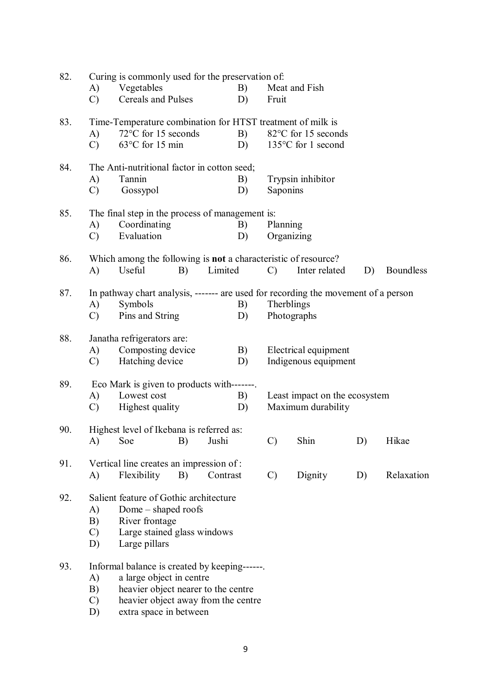| 82. | Curing is commonly used for the preservation of: |                                                                                    |          |          |    |                 |                               |    |                  |
|-----|--------------------------------------------------|------------------------------------------------------------------------------------|----------|----------|----|-----------------|-------------------------------|----|------------------|
|     | A)                                               | Vegetables                                                                         |          |          | B) |                 | Meat and Fish                 |    |                  |
|     | $\mathcal{C}$                                    | Cereals and Pulses                                                                 |          |          | D) | Fruit           |                               |    |                  |
| 83. |                                                  | Time-Temperature combination for HTST treatment of milk is                         |          |          |    |                 |                               |    |                  |
|     | A)                                               | 72°C for 15 seconds                                                                |          |          | B) |                 | 82°C for 15 seconds           |    |                  |
|     | $\mathcal{C}$                                    | $63^{\circ}$ C for 15 min                                                          |          |          | D) |                 | 135°C for 1 second            |    |                  |
| 84. |                                                  | The Anti-nutritional factor in cotton seed;                                        |          |          |    |                 |                               |    |                  |
|     | A)                                               | Tannin                                                                             |          |          | B) |                 | Trypsin inhibitor             |    |                  |
|     | $\mathcal{C}$                                    | Gossypol                                                                           |          |          | D) | Saponins        |                               |    |                  |
| 85. |                                                  | The final step in the process of management is:                                    |          |          |    |                 |                               |    |                  |
|     | A)                                               | Coordinating                                                                       |          |          | B) | Planning        |                               |    |                  |
|     | $\mathcal{C}$                                    | Evaluation                                                                         |          |          | D) | Organizing      |                               |    |                  |
| 86. |                                                  | Which among the following is not a characteristic of resource?                     |          |          |    |                 |                               |    |                  |
|     | A)                                               | Useful                                                                             | B)       | Limited  |    | $\mathcal{C}$   | Inter related                 | D) | <b>Boundless</b> |
| 87. |                                                  | In pathway chart analysis, ------- are used for recording the movement of a person |          |          |    |                 |                               |    |                  |
|     | A)                                               | Symbols                                                                            |          |          | B) | Therblings      |                               |    |                  |
|     | $\mathcal{C}$                                    | Pins and String                                                                    |          |          | D) | Photographs     |                               |    |                  |
|     |                                                  |                                                                                    |          |          |    |                 |                               |    |                  |
| 88. |                                                  | Janatha refrigerators are:                                                         |          |          |    |                 |                               |    |                  |
|     | A)                                               | Composting device                                                                  |          |          | B) |                 | Electrical equipment          |    |                  |
|     | $\mathcal{C}$                                    | Hatching device                                                                    |          |          | D) |                 | Indigenous equipment          |    |                  |
| 89. |                                                  | Eco Mark is given to products with-------                                          |          |          |    |                 |                               |    |                  |
|     | A)                                               | Lowest cost                                                                        |          |          | B) |                 | Least impact on the ecosystem |    |                  |
|     | $\mathcal{C}$                                    | Highest quality                                                                    |          |          | D) |                 | Maximum durability            |    |                  |
| 90. |                                                  | Highest level of Ikebana is referred as:                                           |          |          |    |                 |                               |    |                  |
|     |                                                  | A) Soe                                                                             | B) Jushi |          |    | $\mathcal{C}$ ) | Shin                          | D) | Hikae            |
| 91. |                                                  | Vertical line creates an impression of:                                            |          |          |    |                 |                               |    |                  |
|     | A)                                               | Flexibility                                                                        | B)       | Contrast |    | $\mathcal{C}$   | Dignity                       | D) | Relaxation       |
| 92. |                                                  | Salient feature of Gothic architecture                                             |          |          |    |                 |                               |    |                  |
|     | A)                                               | Dome – shaped roofs                                                                |          |          |    |                 |                               |    |                  |
|     | B)                                               | River frontage                                                                     |          |          |    |                 |                               |    |                  |
|     | $\mathcal{C}$                                    | Large stained glass windows                                                        |          |          |    |                 |                               |    |                  |
|     | D)                                               | Large pillars                                                                      |          |          |    |                 |                               |    |                  |
| 93. |                                                  | Informal balance is created by keeping------.                                      |          |          |    |                 |                               |    |                  |
|     | A)                                               | a large object in centre                                                           |          |          |    |                 |                               |    |                  |
|     | B)                                               | heavier object nearer to the centre                                                |          |          |    |                 |                               |    |                  |
|     | $\mathcal{C}$                                    | heavier object away from the centre                                                |          |          |    |                 |                               |    |                  |
|     | D)                                               | extra space in between                                                             |          |          |    |                 |                               |    |                  |
|     |                                                  |                                                                                    |          |          |    |                 |                               |    |                  |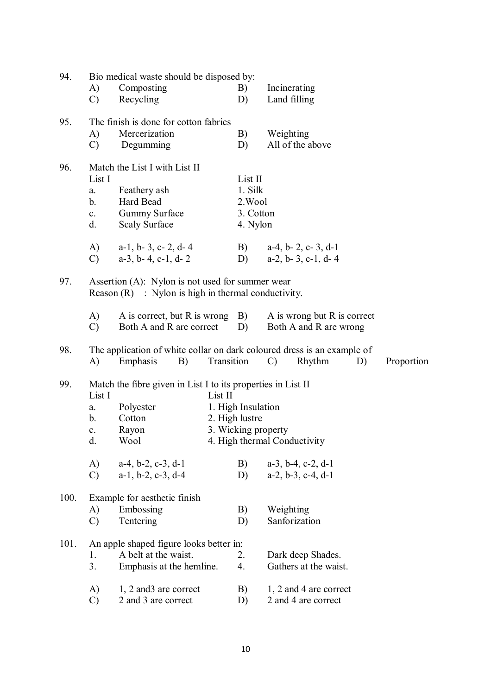| 94.  | A)                                                  | Bio medical waste should be disposed by:<br>Composting                                                       |            | B)                                                          |               | Incinerating                                                   |    |            |
|------|-----------------------------------------------------|--------------------------------------------------------------------------------------------------------------|------------|-------------------------------------------------------------|---------------|----------------------------------------------------------------|----|------------|
|      | $\mathcal{C}$                                       | Recycling                                                                                                    |            | D)                                                          |               | Land filling                                                   |    |            |
| 95.  | A)<br>$\mathcal{C}$                                 | The finish is done for cotton fabrics<br>Mercerization<br>Degumming                                          |            | B)<br>D)                                                    | Weighting     | All of the above                                               |    |            |
| 96.  | List I<br>a.<br>b <sub>1</sub><br>$c_{\rm r}$<br>d. | Match the List I with List II<br>Feathery ash<br>Hard Bead<br><b>Gummy Surface</b><br><b>Scaly Surface</b>   |            | List II<br>1. Silk<br>2. Wool<br>3. Cotton<br>4. Nylon      |               |                                                                |    |            |
|      | A)<br>$\mathcal{C}$                                 | $a-1$ , $b-3$ , $c-2$ , $d-4$<br>$a-3$ , $b-4$ , $c-1$ , $d-2$                                               |            | B)<br>D)                                                    |               | $a-4$ , $b-2$ , $c-3$ , $d-1$<br>$a-2$ , $b-3$ , $c-1$ , $d-4$ |    |            |
| 97.  |                                                     | Assertion $(A)$ : Nylon is not used for summer wear<br>Reason $(R)$ : Nylon is high in thermal conductivity. |            |                                                             |               |                                                                |    |            |
|      | A)<br>$\mathcal{C}$                                 | A is correct, but R is wrong<br>Both A and R are correct                                                     |            | $\vert B \rangle$<br>D)                                     |               | A is wrong but R is correct<br>Both A and R are wrong          |    |            |
| 98.  | A)                                                  | The application of white collar on dark coloured dress is an example of<br>Emphasis<br>B)                    | Transition |                                                             | $\mathcal{C}$ | Rhythm                                                         | D) | Proportion |
| 99.  | List I<br>a.<br>b.<br>c.<br>d.                      | Match the fibre given in List I to its properties in List II<br>Polyester<br>Cotton<br>Rayon<br>Wool         | List II    | 1. High Insulation<br>2. High lustre<br>3. Wicking property |               | 4. High thermal Conductivity                                   |    |            |
|      | A)<br>$\mathcal{C}$                                 | $a-4$ , $b-2$ , $c-3$ , $d-1$<br>$a-1$ , $b-2$ , $c-3$ , $d-4$                                               |            | B)<br>D)                                                    |               | $a-3$ , $b-4$ , $c-2$ , $d-1$<br>$a-2$ , $b-3$ , $c-4$ , $d-1$ |    |            |
| 100. | A)<br>$\mathcal{C}$                                 | Example for aesthetic finish<br>Embossing<br>Tentering                                                       |            | B)<br>D)                                                    | Weighting     | Sanforization                                                  |    |            |
| 101. | 1.<br>3.                                            | An apple shaped figure looks better in:<br>A belt at the waist.<br>Emphasis at the hemline.                  |            | 2.<br>4.                                                    |               | Dark deep Shades.<br>Gathers at the waist.                     |    |            |
|      | A)<br>$\mathcal{C}$                                 | 1, 2 and 3 are correct<br>2 and 3 are correct                                                                |            | B)<br>D)                                                    |               | 1, 2 and 4 are correct<br>2 and 4 are correct                  |    |            |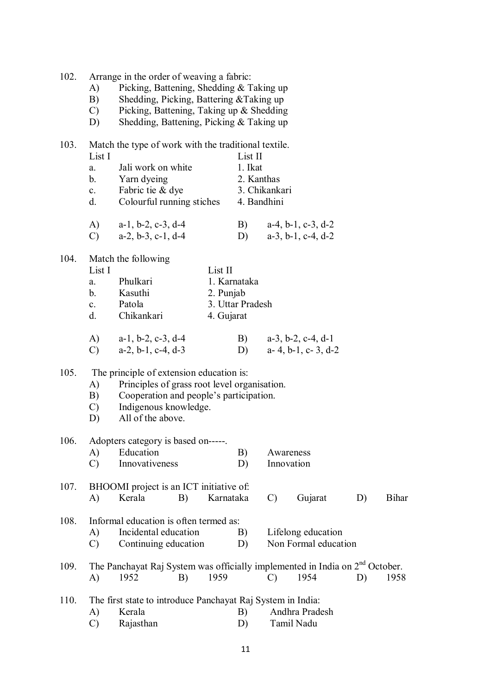| 102. | Arrange in the order of weaving a fabric: |  |  |  |
|------|-------------------------------------------|--|--|--|
|      |                                           |  |  |  |

- A) Picking, Battening, Shedding & Taking up
- B) Shedding, Picking, Battering &Taking up
- C) Picking, Battening, Taking up & Shedding
- D) Shedding, Battening, Picking & Taking up

| 103. | List I            | Match the type of work with the traditional textile.                           |                               | List II     |               |                               |    |              |  |  |
|------|-------------------|--------------------------------------------------------------------------------|-------------------------------|-------------|---------------|-------------------------------|----|--------------|--|--|
|      | a.                | Jali work on white                                                             |                               | 1. Ikat     |               |                               |    |              |  |  |
|      | b.                | Yarn dyeing                                                                    |                               | 2. Kanthas  |               |                               |    |              |  |  |
|      | $\mathbf{c}$ .    | Fabric tie & dye                                                               |                               |             | 3. Chikankari |                               |    |              |  |  |
|      | d.                | Colourful running stiches                                                      |                               | 4. Bandhini |               |                               |    |              |  |  |
|      | A)                | $a-1$ , $b-2$ , $c-3$ , $d-4$                                                  |                               | B)          |               | $a-4$ , $b-1$ , $c-3$ , $d-2$ |    |              |  |  |
|      | $\mathcal{C}$     | $a-2$ , $b-3$ , $c-1$ , $d-4$                                                  |                               | D)          |               | $a-3$ , $b-1$ , $c-4$ , $d-2$ |    |              |  |  |
| 104. |                   | Match the following                                                            |                               |             |               |                               |    |              |  |  |
|      | List I            |                                                                                | List II                       |             |               |                               |    |              |  |  |
|      | a.                | Phulkari                                                                       | 1. Karnataka                  |             |               |                               |    |              |  |  |
|      | b.                | Kasuthi                                                                        | 2. Punjab<br>3. Uttar Pradesh |             |               |                               |    |              |  |  |
|      | $c_{\cdot}$<br>d. | Patola<br>Chikankari                                                           | 4. Gujarat                    |             |               |                               |    |              |  |  |
|      |                   |                                                                                |                               |             |               |                               |    |              |  |  |
|      | A)                | $a-1$ , $b-2$ , $c-3$ , $d-4$                                                  |                               | B)          |               | $a-3$ , $b-2$ , $c-4$ , $d-1$ |    |              |  |  |
|      | $\mathcal{C}$     | $a-2$ , $b-1$ , $c-4$ , $d-3$                                                  |                               | D)          |               | $a-4$ , $b-1$ , $c-3$ , $d-2$ |    |              |  |  |
| 105. |                   | The principle of extension education is:                                       |                               |             |               |                               |    |              |  |  |
|      | A)                | Principles of grass root level organisation.                                   |                               |             |               |                               |    |              |  |  |
|      | B)                | Cooperation and people's participation.                                        |                               |             |               |                               |    |              |  |  |
|      | $\mathcal{C}$     | Indigenous knowledge.                                                          |                               |             |               |                               |    |              |  |  |
|      | D)                | All of the above.                                                              |                               |             |               |                               |    |              |  |  |
| 106. |                   | Adopters category is based on------                                            |                               |             |               |                               |    |              |  |  |
|      | A)                | Education                                                                      |                               | B)          |               | Awareness                     |    |              |  |  |
|      | C)                | Innovativeness                                                                 |                               | D)          |               | Innovation                    |    |              |  |  |
| 107. |                   | BHOOMI project is an ICT initiative of:                                        |                               |             |               |                               |    |              |  |  |
|      | A)                | Kerala<br>B)                                                                   | Karnataka                     |             | $\mathcal{C}$ | Gujarat                       | D) | <b>Bihar</b> |  |  |
| 108. |                   | Informal education is often termed as:                                         |                               |             |               |                               |    |              |  |  |
|      | A)                | Incidental education                                                           |                               | B)          |               | Lifelong education            |    |              |  |  |
|      | $\mathcal{C}$     | Continuing education                                                           |                               | D)          |               | Non Formal education          |    |              |  |  |
| 109. |                   | The Panchayat Raj System was officially implemented in India on $2nd$ October. |                               |             |               |                               |    |              |  |  |
|      | A)                | 1952<br>B)                                                                     | 1959                          |             | $\mathcal{C}$ | 1954                          | D) | 1958         |  |  |
| 110. |                   | The first state to introduce Panchayat Raj System in India:                    |                               |             |               |                               |    |              |  |  |
|      | A)                | Kerala                                                                         |                               | B)          |               | Andhra Pradesh                |    |              |  |  |
|      | $\mathcal{C}$     | Rajasthan                                                                      |                               | D)          |               | Tamil Nadu                    |    |              |  |  |